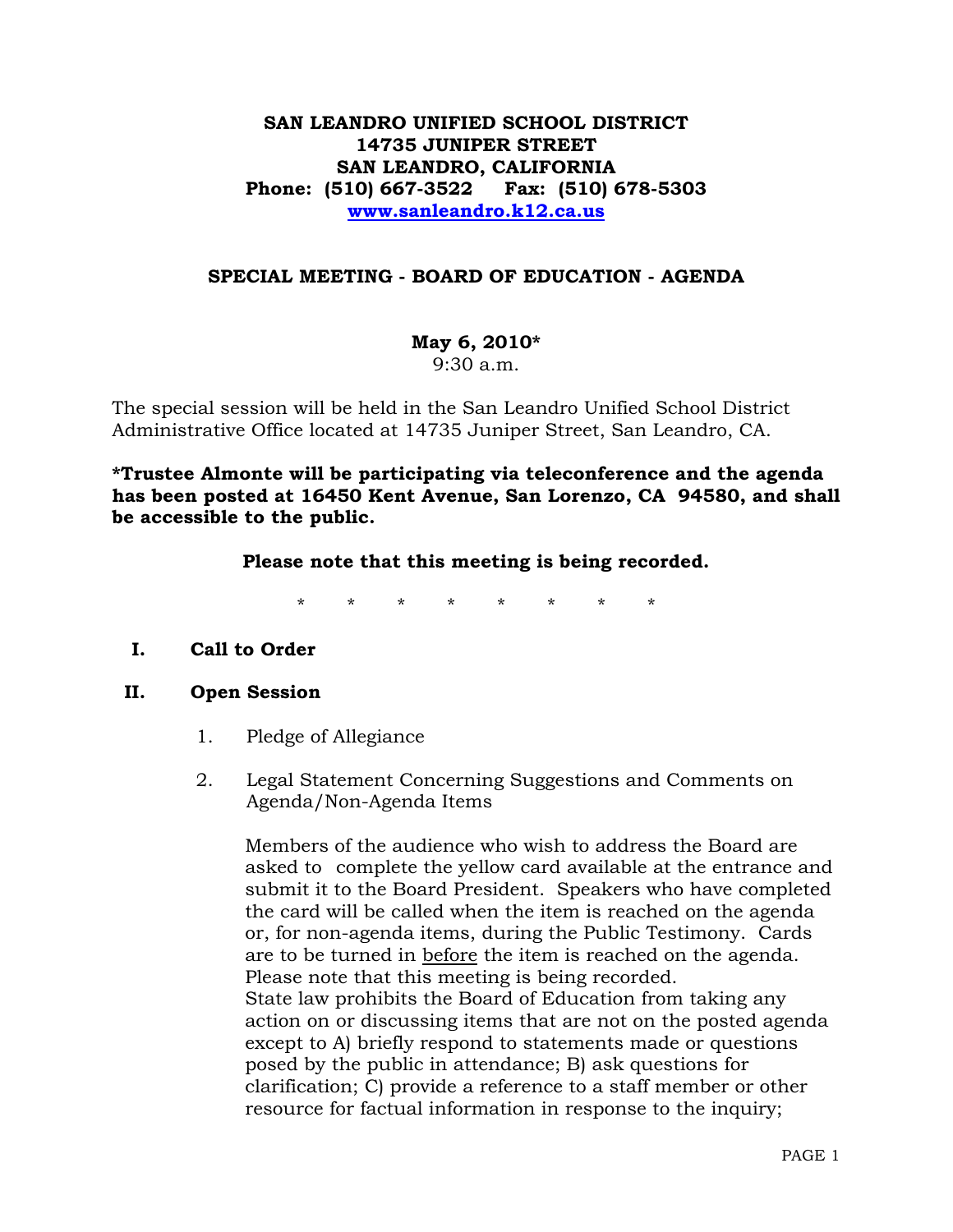# **SAN LEANDRO UNIFIED SCHOOL DISTRICT 14735 JUNIPER STREET SAN LEANDRO, CALIFORNIA Phone: (510) 667-3522 Fax: (510) 678-5303 [www.sanleandro.k12.ca.us](http://www.sanleandro.k12.ca.us/)**

## **SPECIAL MEETING - BOARD OF EDUCATION - AGENDA**

**May 6, 2010\*** 

9:30 a.m.

The special session will be held in the San Leandro Unified School District Administrative Office located at 14735 Juniper Street, San Leandro, CA.

**\*Trustee Almonte will be participating via teleconference and the agenda has been posted at 16450 Kent Avenue, San Lorenzo, CA 94580, and shall be accessible to the public.** 

**Please note that this meeting is being recorded.**

\* \* \* \* \* \* \* \*

# **I. Call to Order**

## **II. Open Session**

- 1. Pledge of Allegiance
- 2. Legal Statement Concerning Suggestions and Comments on Agenda/Non-Agenda Items

 Members of the audience who wish to address the Board are asked to complete the yellow card available at the entrance and submit it to the Board President. Speakers who have completed the card will be called when the item is reached on the agenda or, for non-agenda items, during the Public Testimony. Cards are to be turned in before the item is reached on the agenda. Please note that this meeting is being recorded. State law prohibits the Board of Education from taking any action on or discussing items that are not on the posted agenda except to A) briefly respond to statements made or questions posed by the public in attendance; B) ask questions for clarification; C) provide a reference to a staff member or other resource for factual information in response to the inquiry;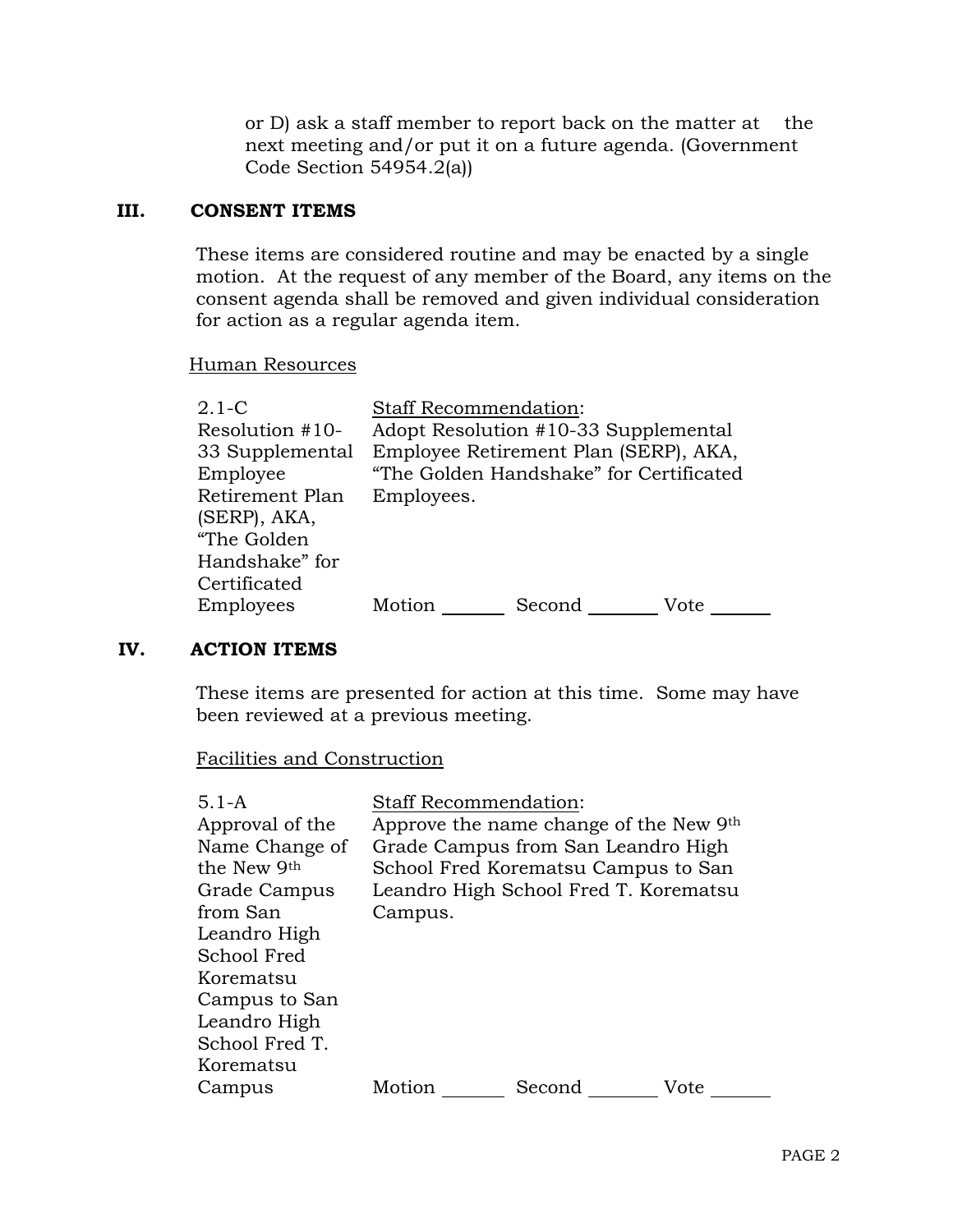or D) ask a staff member to report back on the matter at the next meeting and/or put it on a future agenda. (Government Code Section 54954.2(a))

#### **III. CONSENT ITEMS**

These items are considered routine and may be enacted by a single motion. At the request of any member of the Board, any items on the consent agenda shall be removed and given individual consideration for action as a regular agenda item.

#### Human Resources

| $2.1-C$         | <b>Staff Recommendation:</b>            |  |  |
|-----------------|-----------------------------------------|--|--|
| Resolution #10- | Adopt Resolution #10-33 Supplemental    |  |  |
| 33 Supplemental | Employee Retirement Plan (SERP), AKA,   |  |  |
| Employee        | "The Golden Handshake" for Certificated |  |  |
| Retirement Plan | Employees.                              |  |  |
| (SERP), AKA,    |                                         |  |  |
| "The Golden     |                                         |  |  |
| Handshake" for  |                                         |  |  |
| Certificated    |                                         |  |  |
| Employees       | Motion<br>Second<br>Vote                |  |  |

### **IV. ACTION ITEMS**

These items are presented for action at this time. Some may have been reviewed at a previous meeting.

#### Facilities and Construction

| $5.1 - A$       | <b>Staff Recommendation:</b>       |                                        |      |
|-----------------|------------------------------------|----------------------------------------|------|
| Approval of the |                                    | Approve the name change of the New 9th |      |
| Name Change of  | Grade Campus from San Leandro High |                                        |      |
| the New 9th     |                                    | School Fred Korematsu Campus to San    |      |
| Grade Campus    |                                    | Leandro High School Fred T. Korematsu  |      |
| from San        | Campus.                            |                                        |      |
| Leandro High    |                                    |                                        |      |
| School Fred     |                                    |                                        |      |
| Korematsu       |                                    |                                        |      |
| Campus to San   |                                    |                                        |      |
| Leandro High    |                                    |                                        |      |
| School Fred T.  |                                    |                                        |      |
| Korematsu       |                                    |                                        |      |
| Campus          | Motion                             | Second                                 | Vote |